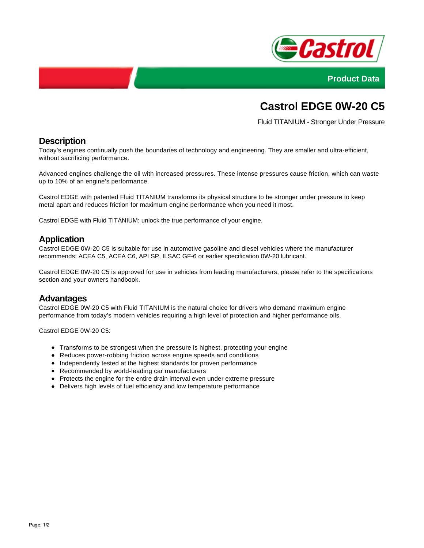



# **Castrol EDGE 0W-20 C5**

Fluid TITANIUM - Stronger Under Pressure

### **Description**

Today's engines continually push the boundaries of technology and engineering. They are smaller and ultra-efficient, without sacrificing performance.

Advanced engines challenge the oil with increased pressures. These intense pressures cause friction, which can waste up to 10% of an engine's performance.

Castrol EDGE with patented Fluid TITANIUM transforms its physical structure to be stronger under pressure to keep metal apart and reduces friction for maximum engine performance when you need it most.

Castrol EDGE with Fluid TITANIUM: unlock the true performance of your engine.

#### **Application**

Castrol EDGE 0W-20 C5 is suitable for use in automotive gasoline and diesel vehicles where the manufacturer recommends: ACEA C5, ACEA C6, API SP, ILSAC GF-6 or earlier specification 0W-20 lubricant.

Castrol EDGE 0W-20 C5 is approved for use in vehicles from leading manufacturers, please refer to the specifications section and your owners handbook.

#### **Advantages**

Castrol EDGE 0W-20 C5 with Fluid TITANIUM is the natural choice for drivers who demand maximum engine performance from today's modern vehicles requiring a high level of protection and higher performance oils.

Castrol EDGE 0W-20 C5:

- Transforms to be strongest when the pressure is highest, protecting your engine
- Reduces power-robbing friction across engine speeds and conditions
- Independently tested at the highest standards for proven performance
- Recommended by world-leading car manufacturers
- Protects the engine for the entire drain interval even under extreme pressure
- Delivers high levels of fuel efficiency and low temperature performance